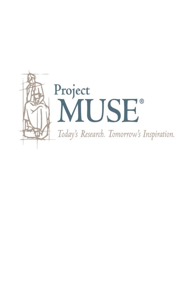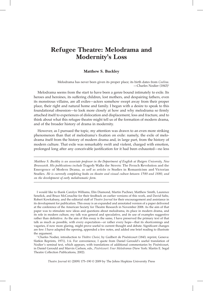# **Refugee Theatre: Melodrama and Modernity's Loss**

## **Matthew S. Buckley**

Melodrama has never been given its proper place; its birth dates from *Coelina*. —Charles Nodier (1843)1

Melodrama seems from the start to have been a genre bound intimately to exile. Its heroes and heroines, its suffering children, lost mothers, and despairing fathers, even its monstrous villains, are all exiles—actors somehow swept away from their proper place, their right and natural home and family. I began with a desire to speak to this foundational obsession—to look more closely at how and why melodrama so firmly attached itself to experiences of dislocation and displacement, loss and fracture, and to think about what this refugee theatre might tell us of the formation of modern drama, and of the broader history of drama in modernity.

However, as I pursued the topic, my attention was drawn to an even more striking phenomenon than that of melodrama's fixation on exile: namely, the exile of melodrama itself from the history of modern drama and, in large part, from the history of modern culture. That exile was remarkably swift and violent, charged with emotion, prolonged long after any conceivable justification for it had been exhausted—no less

*Matthew S. Buckley is an associate professor in the Department of English at Rutgers University, New Brunswick. His publications include* Tragedy Walks the Streets: The French Revolution and the Emergence of Modern Drama*, as well as articles in* Studies in Romanticism and Victorian Studies*. He is currently completing books on theatre and visual culture between 1580 and 1880, and on the development of early melodramatic form.*

I would like to thank Carolyn Williams, Elin Diamond, Martin Puchner, Matthew Smith, Laurence Senelick, and Bruce McConachie for their feedback on earlier versions of this work, and David Saltz, Robert Kowkabany, and the editorial staff of *Theatre Journal* for their encouragement and assistance in its development for publication. This essay is an expanded and annotated version of a paper delivered at the conference of the American Society for Theatre Research in November 2008. As the aim of that paper was to stimulate new ideas and questions about melodrama, its place in modern drama, and its role in modern culture, my talk was general and speculative, and its use of examples suggestive rather than definitive. As the aim of this essay is the same, I have preserved the primary text of that talk as much as possible, with every expectation—or rather every hope—that its shortcomings and vagaries, if now more glaring, might prove useful to current thought and debate. Significant changes are few: I have adapted the opening, appended a few notes, and added one brief reading to illustrate the argument.

<sup>1</sup> Charles Nodier, introduction to *Théâtre Choisi*, by Guilbert de Pixérécourt (1843; reprint, Geneva: Slatkin Reprints, 1971), 1:ii. For convenience, I quote from Daniel Gerould's useful translation of Nodier's seminal text, which appears, with translations of additional commentaries by Pixérécourt, in Daniel Gerould and Marvin Carlson, eds., *Pixérécourt: Four Melodramas* (New York: Martin E. Segal Theatre Collection Publications, 2002).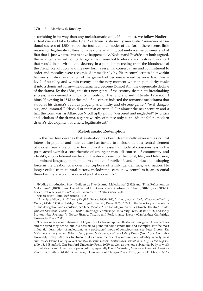astonishing in its way than any melodramatic exile. If, like most, we follow Nodier's ardent cue and take Guilbert de Pixérécourt's staunchly moralistic *Coelina*—a sensational success of 1800—to be the foundational model of the form, there seems little reason for legitimate culture to have done anything but embrace melodrama, and at first that is just what seems to have happened. As Nodier and Pixérécourt both argued, the new genre aimed not to derogate the drama but to elevate and restore it as an art that would instill virtue and decency in a population reeling from the bloodshed of the French Revolution, and the new form's essential conservatism and commitment to order and morality were recognized immediately by Pixérécourt's critics.<sup>2</sup> Yet within ten years, critical evaluation of the genre had become marked by an extraordinary level of hostility, and within twenty—at the very moment when its popularity made it into a dominant form—melodrama had become Exhibit A in the degenerate decline of the drama. By the 1830s, this first new genre of the century, despite its breathtaking success, was deemed a vulgarity fit only for the ignorant and illiterate. Pixérécourt himself, writing in 1843 at the end of his career, indicted the romantic melodrama that stood as his drama's obvious progeny as a "filthy and obscene genre," "evil, dangerous, and immoral," "devoid of interest or truth."3 For almost the next century and a half the form was, as Allardyce Nicoll aptly put it, "despised and neglected" by critics and scholars of the drama, a genre worthy of notice only as the idiotic foil to modern drama's development of a new, legitimate art.<sup>4</sup>

## **Melodramatic Redemption**

In the last few decades that evaluation has been dramatically reversed, as critical interest in popular and mass culture has turned to melodrama as a central element of modern narrative culture, finding in it an essential mode of consciousness in the post-sacred world; a core rhetoric of emergent mass discourses of community and identity; a foundational aesthetic in the development of the novel, film, and television; a dominant language in the modern conduct of public life and politics; and a shaping force in the creation of modern conceptions of family, gender, race, and nation. No longer exiled from cultural history, melodrama seems now central to it, an essential thread in the warp and weave of global modernity.<sup>5</sup>

<sup>2</sup> Nodier, introduction, i–xvi; Guilbert de Pixérécourt, "Melodrama" (1832) and "Final Reflections on Melodrama" (1843), trans. Daniel Gerould, in Gerould and Carlson, *Pixérécourt*, 310–18, esp. 313–14. For critical reactions to *Coelina*, see Pixérécourt*, Théâtre Choisi*, 9–11.

<sup>3</sup> Pixérécourt, "Final Reflections," 318.

<sup>4</sup> Allardyce Nicoll, *A History of English Drama, 1660–1900*, 2nd ed., vol. 4: *Early Nineteenth-Century Drama, 1800–1850* (Cambridge: Cambridge University Press, 1955), 100*.* On the trajectory and contexts of this derogation and expulsion, see Jane Moody, "The Disintegration of Legitimate Theatre," in *Illegitimate Theatre in London, 1770–1840* (Cambridge: Cambridge University Press, 2000), 48–78; and Jacky Bratton, *New Readings in Theatre History*, Theatre and Performance Theory (Cambridge: Cambridge University Press, 2003).

<sup>5</sup> I cannot offer a comprehensive bibliography of scholarship that illustrates these general perspectives and the trend they define, but it is possible to point out some landmarks and examples. For the most influential description of melodrama as a post-sacred mode of consciousness, see Peter Brooks, *The Melodramatic Imagination: Balzac, Henry James, Melodrama, and the Mode of Excess* (New York: Columbia University Press, 1985). For treatment of it as a core rhetoric of community and identity in early mass culture, see Elaine Hadley's excellent *Melodramatic Tactics: Theatricalized Dissent in the English Marketplace, 1800–1885* (Stanford, CA: Stanford University Press, 1995), as well as the now substantial body of work on melodrama and American popular culture, especially David Grimsted, *Melodrama Unveiled: American Theatre and Culture, 1800–1850* (Chicago: University of Chicago Press, 1968); Jeffrey D. Mason, *Melo-*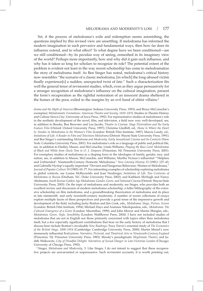Yet, if the process of melodrama's exile and redemption seems astonishing, the questions implied by this revised view are unsettling. If melodrama has informed the modern imagination in such pervasive and fundamental ways, then how far does its influence extend, and to what effect? To what degree have we been conditioned—are we still conditioned—by its peculiar way of seeing, enmeshed in its imaginary view of the world? Perhaps more importantly, how and why did it gain such influence, and why has it taken so long for scholars to recognize its role? The potential extent of the problem is evident not least in the way recent scholarship has come to melodramatize the story of melodrama itself. As Ben Singer has noted, melodrama's critical history now resembles "the scenario of a classic melodrama, [in which] the long-abused victim finally experience[s] a sudden, unexpected twist of fate." Such a characterization fits well the general tenor of revisionist studies, which, even as they argue persuasively for a stronger recognition of melodrama's influence on the cultural imagination, present the form's recuperation as the rightful restoration of an innocent drama sheltered in the homes of the poor, exiled to the margins by an evil band of elitist villains.<sup>6</sup>

*drama and the Myth of America* (Bloomington: Indiana University Press, 1993); and Bruce McConachie's exemplary *Melodramatic Formations: American Theatre and Society, 1820–1870*, Studies in Theatre History and Culture (Iowa City: University of Iowa Press, 1992). For representative studies of melodrama's role in the aesthetic development of the novel, film, and television, a field now very well-developed, see, in addition to Brooks, Ben Brewster and Lea Jacobs, *Theatre to Cinema: Stage Pictorialism and the Early Feature Film* (Oxford: Oxford University Press, 1997); Christine Gledhill, ed., *Home Is Where the Heart Is: Studies in Melodrama in the Women's Film* (London: British Film Institute, 1987); Marcia Landy, ed., *Imitations of Life: A Reader in Film and Television Melodrama* (Detroit: Wayne State University Press, 1991); and Ben Singer's outstanding *Melodrama and Modernity: Early Sensational Cinema and Its Contexts* (New York: Columbia University Press, 2001). For melodrama's role as a language of public and political life, see, in addition to Hadley, Mason, and McConachie, Linda Williams, *Playing the Race Card: Melodramas of Black and White from Uncle Tom to O. J. Simpson* (Princeton, NJ: Princeton University Press, 2001). For exemplary studies of melodrama as a shaping force in the ideologies of family, gender, race, and nation, see, in addition to Mason, McConachie, and Williams, Martha Vicinus's influential "'Helpless and Unfriended': Nineteenth-Century Domestic Melodrama," *New Literary History* 13 (1981): 127–43; and Gabrielle Hyslop's equally important "Deviant and Dangerous Behaviour: Women in Melodrama," *Journal of Popular Culture* 19 (1985): 65–77. For interesting examples of scholarship exploring melodrama in global contexts, see Louise McReynolds and Joan Neuberger, *Imitations of Life: Two Centuries of Melodrama in Russia* (Durham, NC: Duke University Press, 2002); and Kathleen McHugh and Nancy Abelmann, *South Korean Golden Age Melodrama: Gender, Genre, and National Cinema* (Detroit: Wayne State University Press, 2005). On the topic of melodrama and modernity, see Singer, who provides both an excellent review and discussion of modern melodrama scholarship, a fuller bibliography of the extensive scholarship on film melodrama, and a groundbreaking theorization of melodrama and its place in late nineteenth- and early twentieth-century modernity. A number of recent collections of essays explore multiple facets of these perspectives and provide a good sense of the impressive growth and development of the field, including Jacky Bratton and Jim Cook, eds., *Melodrama: Stage, Picture, Screen* (London: British Film Institute, 1994); Michael Hays and Anatasia Nikolopoulou, eds., *Melodrama: The Cultural Emergence of a Genre* (London: Macmillan, 1999); and John Mercer and Martin Shingler, eds., *Melodrama: Genre, Style, Sensibility* (London: Wallflower Press, 2004). I have not included studies of melodrama that are not in English nor those primarily concerned with topics other than melodrama itself, but a few especially significant contributions that bear on the early history of melodrama that I discuss here include Bratton's invaluable *New Readings*; Tracy Davis's essential study of *The Economics of the British Stage, 1800–1914* (Cambridge: Cambridge University Press, 2000); Martin Meisel's now immensely influential *Realizations: Narrative, Pictorial, and Theatrical Arts in Nineteenth-Century England*  (Princeton, NJ: Princeton University Press, 1983); Moody's paradigmatic *Illegitimate Theatre*; and Judith Walkowitz, *City of Dreadful Delight: Narratives of Sexual Danger in Late-Victorian London* (Chicago: University of Chicago Press, 1992).

<sup>6</sup> Singer, *Melodrama and Modernity*, 3. Like Singer, I do not intend to suggest that these recuperative projects are unwarranted or unpersuasive. Such revisionist accounts, it is worth pointing out,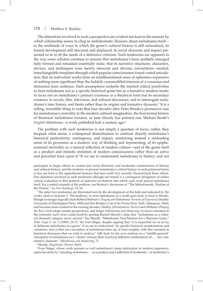The distortions involved in such a perspective are evident not least in the manner by which scholarship seems to cling to melodramatic illusions about melodrama itself in the multitude of ways in which the genre's cultural history is still naturalized, its formal development still obscured and displaced, its social character and impact presented so as to fit the needs of a defensive criticism. Such tendencies are apparent in the way some scholars continue to assume that melodrama's basic aesthetic emerged fully formed and remained essentially static; that its narrative structures, characters, devices, and techniques were merely innocent and obvious conventions—neutral, interchangeable templates through which popular consciousness found varied articulation; that its individual works form an undifferentiated mass of ephemera expressive of nothing more significant than the faddish, commodified interests of a voracious and distracted mass audience. Such assumptions underlie the marked critical proclivities to treat melodrama not as a specific historical genre but as a transitive modern mode; to focus not on melodrama's primary existence as a theatrical form but its secondary existence in novels, film, television, and cultural discourses; and to interrogate melodrama's later history and limits rather than its origins and formative dynamic.<sup>7</sup> It is a telling, incredible thing to note that four decades after Peter Brooks's persuasive case for melodrama's centrality in the modern cultural imagination, the best formal history of theatrical melodrama remains, as Jane Moody has pointed out, Michael Booth's *English Melodrama*—a work published half a century ago.8

The problem with such tendencies is not simply a question of focus: rather, they bespeak what seems a widespread disinclination to confront directly melodrama's historical particularity, contingency, and impact, reinforcing instead a misleading sense of its givenness as a modern way of thinking and representing, of its epiphenomenal neutrality as a natural reflection of modern culture—and of the genre itself as a product and mimetic imitation of modern consciousness rather than an active and powerful force upon it.9 If we are to understand melodrama in history, and not

participate in larger efforts to contest and revise Romantic and modernist constructions of literary and cultural history, and the tendency to present melodrama's critical history in such polarized terms is due not least to the oppositional tensions that have until very recently characterized those efforts. One distortion involved in such tendencies (though not noted) is a consequent derogation of earlier critical evaluation to that position of reductive revilement into which such work placed melodrama itself. For a useful example of the problem, see Bratton's discussion of "The Melodramatic 'Decline of the Drama,'" in *New Readings*, 12–16.

<sup>7</sup> The latter two tendencies are illustrated best by the development of the field and indicated by the works cited in footnote 5. The tendency to treat melodrama as a mode goes back at least to Brooks, though it emerges logically from Robert Heilman's *Tragedy and Melodrama: Versions of Experience* (Seattle: University of Washington Press, 1968) and Eric Bentley's *Life of the Drama* (New York: Atheneum, 1964), and becomes more marked in the ensuing decades. Hadley (*Melodramatic Tactics*) and Williams (*Playing the Race Card*) adopt similar perspectives, and Singer (*Melodrama and Modernity*, 6) draws attention to the extremity such views could reach by quoting Russell Merritt's claim that "melodrama as a coherent dramatic category never existed." See Merritt, "Melodrama: Post-Mortem for a Phantom Genre," *Wide Angle* 5, no. 3 (1983): 24–31. Yet even Singer, despite arguing that "it is important for us to try to delineate melodrama as a genre" if we are to understand "its specific historical manifestations and variations, and so that our conception of melodrama lines up, at least roughly, with that assumed in historical discourses that we wish to analyze," falls back for his own analysis on a "middle-ground" conception of melodrama as a "cluster concept [that involves] different combinations of . . . key constitutive elements" (*Melodrama and Modernity*, 7).

<sup>8</sup> Moody, *Illegitimate Theatre*, 8n18.

<sup>9</sup> Even Singer, whose work pursues so well melodrama's deep imbrication in modern experience, opens his study by "situating melodrama . . . as a product and a reflection of modernity—of modernity's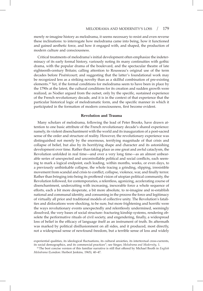merely re-imagine history as melodrama, it seems necessary to resist and even reverse these inclinations: to interrogate how melodrama came into being, how it functioned and gained aesthetic force, and how it engaged with, and shaped, the production of modern culture and consciousness.

Critical treatments of melodrama's initial development often emphasize the indeterminacy of its early formal history, variously noting its many continuities with gothic drama, with the popular drama of the boulevard, and the spectacular theatre of late eighteenth-century Britain; calling attention to Rousseau's original use of the term decades before Pixérécourt; and suggesting that the latter's foundational work may be recognized less as a striking novelty than as a skillful combination of pre-existing elements.10 Yet, if the formal conditions for melodrama seem to have been in place by the 1790s at the latest, the cultural conditions for its creation and sudden growth were realized, as Nodier argued from the outset, only by the specific, sustained experience of the French revolutionary decade, and it is in the context of that experience that the particular historical logic of melodramatic form, and the specific manner in which it participated in the formation of modern consciousness, first become evident.

#### **Revolution and Trauma**

Many scholars of melodrama, following the lead of Peter Brooks, have drawn attention to one basic attribute of the French revolutionary decade's shared experience: namely, its violent disenchantment with the world and its inauguration of a post-sacred sense of the order and structure of reality. However, the revolutionary experience was distinguished not merely by the enormous, terrifying magnitude of that crisis and collapse of belief, but also by its horrifying shape and character and its astonishing development over time. Rather than taking place as one great and awful cataclysm, the Revolution unfolded in real time—and over a very long time—as an almost unbearable series of unexpected and uncontrollable political and social conflicts, each seeming to mark a logical endpoint, each leading, within months, weeks, or even days, to a previously unthinkable collapse, the whole tracing a grinding, slipping, irresistible movement from scandal and crisis to conflict, collapse, violence, war, and finally terror. Rather than bringing into being its proffered vision of utopian political community, the Revolution followed, for contemporaries, a relentless, agonizing, accelerating course of disenchantment, undercutting with increasing, inexorable force a whole sequence of efforts, each a bit more desperate, a bit more absolute, to re-imagine and re-establish national and communal identity, and consuming in the process the force and legitimacy of virtually all prior and traditional models of collective unity. The Revolution's fatalities and dislocations were shocking, to be sure, but more frightening and horrific were the ways revolutionary events unexpectedly and relentlessly undermined, seemingly dissolved, the very bases of social structure: fracturing kinship systems, rendering obsolete the performative rituals of civil society, and engendering, finally, a widespread loss of belief in the efficacy of language itself as an instrument of truth. Its aftermath was marked by political disillusionment on all sides, and it produced, most directly, not a widespread sense of newfound freedom, but a terrible sense of loss and widely

experiential qualities, its ideological fluctuations, its cultural anxieties, its intertextual cross-currents, its social demographics, and its commercial practices"; see Singer, *Melodrama and Modernity*, 1.<br><sup>10</sup> The best concise version of this familiar narrative is still that offered by Michael Booth in *English* 

*Melodrama* (London: Herbert Jenkins, 1965), 40–47.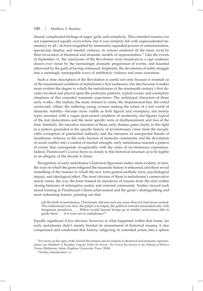shared, complicated feelings of anger, guilt, and complicity. This extended trauma was not experienced equally everywhere, but it was certainly felt with unprecedented immediacy by all—its force magnified by immensely expanded powers of communication, spectacular display, and martial violence, its actions rendered all the more vivid by their invocation of theatrical and dramatic models of representation.<sup>11</sup> Like the events of September 11, the cataclysms of the Revolution were broadcast to a rapt audience drawn ever closer by the increasingly dramatic progression of events, and haunted afterward by the guilt of having witnessed, helplessly, the devolution of noble struggle into a seemingly unstoppable wave of retributive violence and mass execution.

Such a close description of the Revolution is useful not only because it reminds us of the traumatized condition of melodrama's first audiences, but also because it makes more evident the degree to which the melodramas of the nineteenth century's first decades invoked and played upon the particular patterns, typical events, and exemplary situations of this extended traumatic experience. The archetypal characters of those early works—the orphan, the mute witness to crime, the dispossessed heir, the exiled aristocratic villain, the suffering young woman seeking the solace of a lost world of domestic stability—become more visible as both figural and exemplary, not merely types resonant with a vague post-sacred condition of modernity, but figures typical of the real dislocations and the more specific sorts of disillusionment and loss of the time. Similarly, the narrative structure of those early dramas gains clarity in this light as a pattern grounded in the specific history of revolutionary crisis: from the inexplicable corruption of patriarchal authority and the intrusion of unexpected threats of murderous violence, to the exilic fracture of domestic community and the devolution of social conflict into a contest of martial strength, early melodrama enacted a pattern of events that corresponds recognizably with the crises of revolutionary experience. Indeed, Pixérécourt's *Coelina* hews so closely to this historical structure as to be legible as an allegory of the decade it closes.

Recognition of early melodrama's historical figuration makes more evident, in turn, the ways in which the genre refigured the traumatic history it rehearsed, and these reveal something of the manner in which the new form gained aesthetic force, psychological impact, and ideological effect. The most obvious of these is melodrama's conservative moral vision, the way the form framed its narratives of trauma from the start within closing fantasies of redemptive justice and restored community. Nodier viewed such moral framing as Pixérécourt's finest achievement and the genre's distinguishing and most redeeming feature, pointing out that

[a]t the birth of melodrama, Christianity did not exist any more than if it had never existed. The confessional was shut, the pulpit was empty, the political rostrum resounded only with dangerous paradoxes. . . . Where would human beings go to imbibe instructions able to guide them . . . if it were not to melodrama?<sup>12</sup>

Equally significant if less obvious, however, is what happened within that frame, for early melodrama didn't merely bracket its reenactment of historical trauma; it also compressed and condensed that history, refiguring its extended action into a sphere

<sup>&</sup>lt;sup>11</sup> For more on the topic of the French Revolution and its relation to theatrical and dramatic representation, see Matthew S. Buckley, *Tragedy Walks the Streets: The French Revolution in the Making of Modern Drama* (Baltimore: Johns Hopkins University Press, 2006).

<sup>12</sup> Nodier, introduction, xv.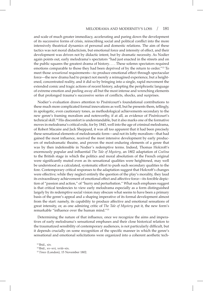and scale of much greater immediacy, accelerating and paring down the development of its successive forms of crisis, reinscribing social and political conflict into the more intensively theatrical dynamics of personal and domestic relations. The aim of these tactics was not moral didacticism, but emotional force and intensity of effect, and their development was driven not by didactic intent, but by dramatic necessity. As Nodier again points out, early melodrama's spectators "had just enacted in the streets and on the public squares the greatest drama of history. . . . These solemn spectators required emotions comparable to those they had been deprived of by the return to order."13 To meet those *sensational* requirements—to produce emotional effect through spectacular force—the new drama had to project not merely a reimagined experience, but a heightened, concentrated reality, and it did so by bringing into a single, rapid movement the extended comic and tragic actions of recent history, adopting the periphrastic language of extreme emotion and peeling away all but the most intense and wrenching elements of that prolonged trauma's successive series of conflicts, shocks, and surprises.

Nodier's evaluation draws attention to Pixérécourt's foundational contributions to these much more complicated formal innovations as well, but he presents them, tellingly, in apologetic, even cautionary tones, as methodological achievements secondary to the new genre's framing moralism and noteworthy, if at all, as evidence of Pixérécourt's technical skill.14 His discomfort is understandable, but it also marks one of the formative moves in melodrama's critical exile, for by 1843, well into the age of criminal melodrama, of Robert Macaire and Jack Sheppard, it was all too apparent that it had been precisely these sensational elements of melodramatic form—and not its lofty moralism—that had gained the most influence, received the most intensive development by early producers of melodramatic theatre, and proven the most enduring elements of a genre that was by then indefensible in Nodier's redemptive terms. Indeed, Thomas Holcroft's enormously popular and influential *The Tale of Mystery*, an 1802 adaptation of *Coelina* to the British stage in which the politics and moral absolutism of the French original were significantly muted even as its sensational qualities were heightened, may well be understood as a calculated, systematic effort to push such secondary qualities to the fore. Contemporary critical responses to the adaptation suggest that Holcroft's changes were effective; while they neglect entirely the question of the play's morality, they laud its extraordinary achievement of emotional effect and affective force—its forcible depiction of "passion and action," of "hurry and perturbation." What such emphases suggest is that critical tendencies to view early melodrama especially as a form distinguished largely by its redemptive social vision may obscure what seems to have been a primary basis of the genre's appeal and a shaping imperative of its formal development almost from the start: namely, its capability to produce affective and emotional sensations of great intensity, or, as one admiring critic of *The Tale of Mystery* put it, the new form's remarkable "influence over the human mind."<sup>15</sup>

Determining the nature of that influence, once we recognize the aims and imperatives of early melodrama's sensational emphases and their close historical relation to the traumatized sensibility of contemporary audiences, is not particularly difficult, but it depends crucially on some recognition of the specific manner in which the genre's sensational and emotional solicitations were organized into a coherent aesthetic tech-

 $13$  Ibid., xiv.

<sup>14</sup> Ibid., xv–xvi, xviii–xix.

<sup>15</sup> *Times* (London), 15 November 1802.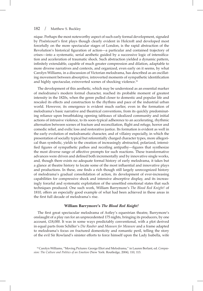nique. Perhaps the most noteworthy aspect of such early formal development, signaled by Pixérécourt's first plays though clearly evident in Holcroft and developed most forcefully on the more spectacular stages of London, is the rapid abstraction of the Revolution's historical figuration of action—a particular and contained trajectory of crises—into a systematic, serial aesthetic guided by a successive logic of intensification and acceleration of traumatic shock. Such abstraction yielded a dynamic pattern, infinitely extendable, capable of much greater compression and dilation, adaptable to more diverse narratives and contexts, and organized, even early on it seems, by what Carolyn Williams, in a discussion of Victorian melodrama, has described as an oscillating movement between absorptive, introverted moments of sympathetic identification and highly spectacular, extroverted scenes of shocking violence.<sup>16</sup>

The development of this aesthetic, which may be understood as an essential marker of melodrama's modern formal character, reached its probable moment of greatest intensity in the 1820s, when the genre pulled closer to domestic and popular life and rescaled its effects and construction to the rhythms and pace of the industrial urban world. However, its emergence is evident much earlier, even in the formation of melodrama's basic narrative and theatrical conventions, from its quickly predominating reliance upon breathtaking opening tableaux of idealized community and initial actions of intrusive violence, to its soon-typical adherence to an accelerating, rhythmic alternation between scenes of fracture and reconciliation, flight and refuge, horror and comedic relief, and exilic loss and restorative justice. Its formation is evident as well in the early evolution of melodramatic character, and of villainy especially, in which the presentation of socially typical but referentially charged character types, more allegorical than symbolic, yields to the creation of increasingly abstracted, polarized, intensified figures of sympathetic pathos and recoiling antipathy—figures that synthesize the most diverse range of affective prompts for such reactions. These transformative advances were driven and defined both incrementally and by innovative single works, and, though there exists no adequate formal history of early melodrama, it takes but a glance at theatre history to locate some of the most influential and innovative plays and productions. In these, one finds a rich though still largely unrecognized history of melodrama's gradual consolidation of action, its development of ever-increasing capabilities for compressive shock and intensive absorptive display, and its increasingly forceful and systematic exploitation of the unsettled emotional states that such techniques produced. One such work, William Barrymore's *The Blood Red Knight!* of 1810, offers an especially good example of what had been achieved in these areas in the first full decade of melodrama's rise.

#### **William Barrymore's** *The Blood Red Knight!*

The first great spectacular melodrama of Astley's equestrian theatre, Barrymore's onslaught of a play ran for an unprecedented 175 nights, bringing its producers, by one account, £18,000. It was in some ways predictably conventional, with a plot derived in equal parts from Schiller's *Die Rauber* and *Measure for Measure* and a frame adapted to melodrama's focus on fractured domesticity and romantic peril, telling the story of the evil Sir Rowland's sinister efforts to force himself upon the Lady Isabella, wife

<sup>&</sup>lt;sup>16</sup> Carolyn Williams, "Moving Pictures: George Eliot and Melodrama," in Lauren Berlant, ed. *Compassion: The Culture and Politics of an Emotion* (New York: Routledge, 2004), 110, 113.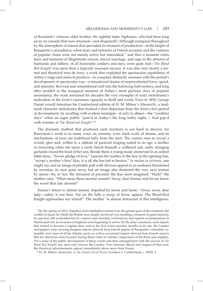of Rowland's virtuous elder brother, the rightful duke Alphonso, who had been long away on crusade (but now returned—and disguised!). Although energized throughout by the atmosphere of unease that pervaded its moment of production—at the height of Bonaparte's ascendancy, when fears and fantasies of French invasion and the violence of popular chaos were not merely active but intensified, $17$  and thus a moment when fears and fantasies of illegitimate seizure, forced marriage, and rape in the absence of husbands and fathers, of all honorable soldiers and men, were quite real—*The Blood Red Knight!* was more than a topically resonant success. It was also very clearly a formal and theatrical tour de force, a work that exploited the spectacular capabilities of Astley's stage and arena to produce—in a manner distinctly resonant with the period's development of spectacular war—a sensational drama of unprecedented force, speed, and intensity. Revived and remembered well into the following half-century, and long after recalled as the inaugural moment of Astley's most glorious days of popular ascendancy, the work remained for decades the very exemplar of early melodrama's realization of the form's enormous capacity to thrill and excite. Even in 1830, George Daniel would introduce his Cumberland edition of H. M. Milner's *Masaniello*, a landmark character melodrama that marked a firm departure from the form's first period of development, by recalling with evident nostalgia—if only to abjure—the "youthful days" when an eager public "pass'd at Astley's the long sultry night, / And gap'd with wonder at *The Blood-red Knight.*"18

The dramatic method that produced such reactions is not hard to discern, for Barrymore's work is in many ways an extreme, even stark work of drama, and its mechanisms of force are mobilized fully from the start. The curtain rises to reveal a woody glen and, within it, a tableau of pastoral longing suited to its age: a mother in mourning robes sits upon a rustic bench beneath a withered oak, sadly stringing garlands round the head of her son. Beside them a young maid, immersed in an ardent billet-doux. "Sweet pledge of love," laments the mother to the boy in the opening line, "accept a mother's kiss! Alas, it is all she has left to bestow." *In medias in extremis*, one might say, and an image of pitiable pull with obvious appeal to an audience threatened by invasion, its men gone away, but an image also shattered the very next instant by alarm—by, in fact, the intrusion of precisely the fear most imagined: "Hark!" the mother cries, "What mean these martial sounds? Away, dear Emma, and let me know the worst that fate decrees!"

Emma's return is almost instant, impelled by terror and haste: "Away, away, dear lady—safety is not here. Far on the hills a troop of horse appear. The Blood-Red Knight approaches our retreat!" The mother "is almost distracted at this intelligence,

<sup>17</sup> By the spring of 1810, Napoleon had established control over the greater part of the continent; the conflict in Spain (in which the British were deeply involved) was reaching a moment of great intensity, its outcome still undecided but its violence and atrocities well-known; and reports of preparations in French ports for an invasion of England were beginning to arrive. By the play's premiere, such reports had started to become a regular item, and in the first warm summer months of its run, the London newspapers were carrying frequent reports derived from French papers of Bonaparte's extended, ostensibly civic tours of all his Atlantic ports, as well as occasional rumors derived from French sources that his attentions were focused during those visits on military inspections of his fleets and supplies. For a sense of the public development of these events and their entanglement with the success of *The Blood Red Knight*! one need only browse the London *Times* between March and August of that year; the theatrical advertisements appear immediately above news from France.

<sup>18</sup> H. M. Milner, *Masaniello; or, the Dumb Girl of Portici* (London: J. Cumberland, c. 1830), 5.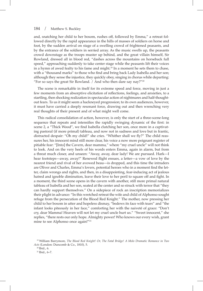and, snatching her child to her bosom, rushes off, followed by Emma," a retreat followed directly by the rapid appearance in the hills of masses of soldiers on horse and foot, by the sudden arrival on stage of a swelling crowd of frightened peasants, and by the entrance of the soldiers in serried array. As the music swells up, the peasants crowd downstage as the troops muster up behind, and the great villain himself, Sir Rowland, dressed all in blood red, "dashes across the mountains on horseback full speed," approaching suddenly to take center stage while the peasants lift their voices in a hymn of awed fealty to his fame and might.<sup>19</sup> In a moment he sets them to chase, with a "thousand marks" to those who find and bring back Lady Isabella and her son; although they sense the injustice, they quickly obey, singing in chorus while departing: "For so says the great Sir Rowland.  $/$  And who then dare say nay?"<sup>20</sup>

The scene is remarkable in itself for its extreme speed and force, moving in just a few moments from an absorptive elicitation of reflections, feelings, and anxieties, to a startling, then shocking realization in spectacular action of nightmares and half-thoughtout fears. To us it might seem a hackneyed progression; to its own audiences, however, it must have carried a deeply resonant force, drawing out and then wrenching very real thoughts of their present and of what might well come.

This radical consolidation of action, however, is only the start of a three-scene-long sequence that repeats and intensifies the rapidly swinging dynamic of the first: in scene 2, a "Thick Wood", we find Isabella clutching her son, once more in a captivating pastoral (if more primal) tableau, and now not in sadness and love but in frantic, distracted despair: "Oh my child!" she cries. "Whither shall we fly?" The child reassures her, his innocent mind still more clear, his voice a now more poignant register of pitiable fear: "[Into] the Cavern, dear mamma," where "my cruel uncle" will not think to look. And on the very heels of his words enters Emma, again in alarm, but from a threat much closer, and unseen: "Away, away, dear lady! We are pursued. Hark—I hear footsteps—away, away!" Renewed flight ensues, a letter—a vow of love by the nearest friend and rival of her avowed beau—is dropped, and this time the intruders are Oliver and Charles, Emma's lovers, potential heroes who in a moment find the letter, claim wrongs and rights, and then, in a disappointing, fear-inducing act of jealous hatred and ignoble diminution, leave their love to her peril to square off and fight. In a moment, the third scene opens in the cavern with another, still more primal natural tableau of Isabella and her son, seated at the center and so struck with terror that "they can hardly support themselves." On a sidepiece of rock an inscription memorializes their plight in advance: "In this wretched retreat the wife and child of Alphonso sought refuge from the persecution of the Blood Red Knight." The mother, now pressing her child to her bosom in utter and hopeless dismay, "bedews its face with tears" and "the infant looks piteously in her face," comforting her with the naiveté of grace: "Don't cry, dear Mamma! Heaven will not let my cruel uncle hurt us." "Sweet innocent," she replies, "there rests our only hope. Almighty power! Who knows our every wish, grant mine to see Alphonso once again!"<sup>21</sup>

<sup>19</sup> William Barrymore*, The Blood Red Knight! Or, The Fatal Bridge! A Melo Dramatic Romance in Two Acts* (London: Duncomb & Co., 1810), 5.

<sup>20</sup> Ibid., 6.

<sup>21</sup> Ibid., 6–7.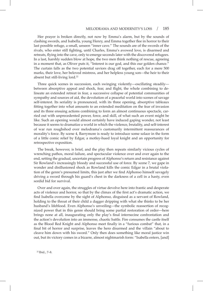Her prayer is broken directly, not now by Emma's alarm, but by the sounds of clashing swords, and Isabella, young Henry, and Emma together flee in horror to their last possible refuge, a small, unseen "inner cave." The sounds are of the swords of the rivals, who enter still fighting, until Charles, Emma's avowed love, is disarmed and retreats, flying into the cave, only to emerge seconds later with the discovered refugees. In a last, harshly sudden blow at hope, the two men think nothing of rescue, agreeing in a moment that, as Oliver puts it, "Interest is our god, and this our golden chance." The curtain falls as the two potential saviors drag off together, each for a mere 500 marks, their love, her beloved mistress, and her helpless young son—the heir to their absent but still-living lord.<sup>22</sup>

Three quick scenes in succession, each swinging violently—oscillating steadily between absorptive appeal and shock, fear, and flight, the whole combining to delineate an extended retreat in fear, a successive collapse of potential communities of sympathy and sources of aid, the devolution of a peaceful world into scenes of savage self-interest. Its seriality is pronounced, with its three opening, absorptive tableaux fitting together into what amounts to an extended meditation on the fear of invasion and its three ensuing actions combining to form an almost continuous spectacle, carried out with unprecedented power, force, and skill, of what such an event might be like. Such an opening would almost certainly have induced gaping wonder, not least because it seems to dramatize a world in which the violence, brutality, and self-interest of war run roughshod over melodrama's customarily intermittent reassurances of morality's force. By scene 4, Barrymore is ready to introduce some solace in the form of a little comic relief by Edgar, a motley-hued loyal knight and an opportunity for retrospective exposition.

The break, however, is brief, and the play then repeats similarly vicious cycles of wrenching pathos, moral failure, and spectacular violence over and over again to the end, setting the gradual, uncertain progress of Alphonso's return and resistance against Sir Rowland's increasingly bloody and successful use of force. By scene 7, we gape in wonder and disillusioned shock as Rowland kills the comic Edgar in a brutal violation of the genre's presumed limits, this just after we find Alphonso himself savagely driving a sword through his guard's chest in the darkness of a cell in a hasty, even sordid bid for survival.

Over and over again, the struggles of virtue devolve here into frantic and desperate acts of violence and horror, so that by the climax of the first act's dramatic action, we find Isabella overcome by the sight of Alphonso, disguised as a servant of Rowland, holding to the throat of their child a dagger dripping with what she thinks to be her husband's lifeblood. Even Alphonso's unveiling—the symbolic reassertion of recognized power that in this genre should bring some partial restoration of order—here brings none at all, inaugurating only the play's final internecine confrontation and the action's devolution into an immense, chaotic battle. Fire consumes the castle itself as the Blood Red Knight and Alphonso meet finally in a "furious combat" that, in a final bit of horror and surprise, leaves the hero disarmed and the villain "about to cleave him down with his sword." Only then does something like moral justice win out, but its victory comes in a bizarre, almost nightmarish form: "Isabella enters, [and]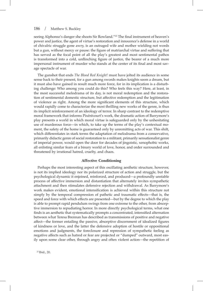seeing Alphonso's danger she shoots Sir Rowland."23 The final instrument of heaven's power and justice, the agent of virtue's restoration and innocence's defense in a world of chivalric struggle gone awry, is an outraged wife and mother wielding not words but a gun, without mercy or pause: the figure of matriarchal virtue and suffering that has served as the focal point of all the play's greatest and most sentimental pathos is transformed into a cold, unflinching figure of justice, the bearer of a much more impersonal instrument of murder who stands at the center of its final and most savage spectacle of war.

The gunshot that ends *The Blood Red Knight!* must have jolted its audience in some sense back to their present, for a gun among swords makes knights seem a dream, but it must also have gained in result much more force, for in its implication is a disturbing challenge: Who among you could do this? Who feels this way? Here, at least, in the most successful melodrama of its day, is not moral redemption and the restoration of sentimental domestic structure, but affective redemption and the legitimation of violence as right. Among the more significant elements of this structure, which would rapidly come to characterize the most thrilling new works of the genre, is thus its implicit reinforcement of an ideology of terror. In sharp contrast to the redemptive moral framework that informs Pixérécourt's work, the dramatic action of Barrymore's play presents a world in which moral virtue is safeguarded only by the unhesitating use of murderous force—in which, to take up the terms of the play's contextual moment, the safety of the home is guaranteed only by unremitting acts of war. This shift, which differentiates in stark terms the adaptation of melodrama from a conservative, primarily didactic genre of social restoration to a militant, primarily sensationalist genre of imperial power, would open the door for decades of jingoistic, xenophobic works, all enlisting similar fears of a binary world of love, honor, and order surrounded and threatened by irrational hatred, cruelty, and chaos.

## **Affective Conditioning**

Perhaps the most interesting aspect of this oscillating aesthetic structure, however, is not its implied ideology nor its polarized structure of action and struggle, but the psychological dynamic it enjoined, reinforced, and produced—a profoundly unstable process of affective immersion and distantiation that alternately invites sympathetic attachment and then stimulates defensive rejection and withdrawal. As Barrymore's work makes evident, emotional intensification is achieved within this structure not simply by the temporal compression of pathetic and traumatic effects—that is, the speed and force with which effects are presented—but by the degree to which the play is able to prompt rapid pendulum swings from one extreme to the other, from absorptive immersion to repudiating horror. In more directly psychological terms, what one finds is an aesthetic that systematically prompts a concentrated, intensified alternation between what Teresa Brennan has described as transmissions of positive and negative affect—the former entailing the passive, absorptive discernment of idealized figures of kindness or love, and the latter the defensive adoption of hostile or oppositional emotions and judgments, the foreclosure and repression of sympathetic feeling as negative affects such as hatred or fear are projected or "dumped" outward, most easily upon some clear other, through angry and often violent action—the repetition of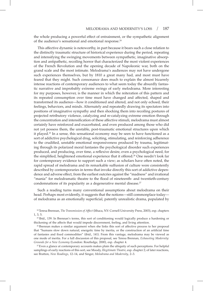the whole producing a powerful effect of entrainment, or the sympathetic alignment of the audience's sensational and emotional response.<sup>24</sup>

This affective dynamic is noteworthy, in part because it bears such a close relation to the distinctly traumatic structure of historical experience during the period, repeating and intensifying the swinging movements between sympathetic, imaginative absorption and antipathetic, recoiling horror that characterized the most violent experiences of the French Revolution and the opening decade of Napoleonic war, both on the grand scale and the most intimate. Melodrama's audiences may not have undergone such experiences themselves, but by 1810 a great many had, and most must have feared that they might. Such consonance does much to explain the almost bizarrely intense reactions of contemporary audiences to what seem today the absurdly fantastic narrative and improbably extreme swings of early melodrama. More interesting for my purposes, however, is the manner in which the reiteration of this pattern and its repeated consumption over time must have changed and affected, shaped and transformed its audience—how it conditioned and altered, and not only echoed, their feelings, behaviors, and minds. Alternately and repeatedly drawing its spectators into positions of imaginative sympathy and then shocking them into recoiling postures of projected retributory violence, catalyzing and re-catalyzing extreme emotion through the concentration and intensification of these affective stimuli, melodrama must almost certainly have reinforced and exacerbated, and even produced among those who did not yet possess them, the unstable, post-traumatic emotional structures upon which it played.25 In a sense, this sensational economy may be seen to have functioned as a sort of addictive psychological drug, soliciting, stimulating, and reinforcing adherence to the crudified, unstable emotional responsiveness produced by trauma, legitimating through its polarized moral fantasies the psychological disorder such experiences produced, and producing, over time, a reflexive desire, even a psychological need, for the simplified, heightened emotional experience that it offered.<sup>26</sup> One needn't look far for contemporary evidence to support such a view; as scholars have often noted, the rapid spread of melodrama and its remarkable suffusion of culture were consistently described by contemporaries in terms that invoke directly this sort of addictive dependence and adverse effect, from the earliest outcries against the "madness" and irrational "mania" for melodramatic theatre to the flood of nineteenth- and twentieth-century condemnations of its popularity as a degenerative mental disease.<sup>27</sup>

Such a reading turns many conventional assumptions about melodrama on their head. Perhaps most evidently, it suggests that the notions—still commonplace today of melodrama as an emotionally superficial, patently unrealistic drama, populated by

24Teresa Brennan, *The Transmission of Affect* (Ithaca, NY: Cornell University Press, 2003), esp. chapters 1, 3, 5.

 $25$  Ibid., 139. In Brennan's terms, this sort of conditioning would logically produce a hardening or thickening of the affects that would impede discernment, feeling, and living attention.<br><sup>26</sup> Brennan makes a similar argument when she links this sort of affective process to her proposal

that "humans slow down natural, energetic time by inertia, or the construction of an artificial time of fantasies and fixed commodities" (ibid., 141). From this vantage, melodrama may be viewed as one mode of inertia. For a full discussion of this proposal, see Teresa Brennan, *Exhausting Modernity: Grounds for a New Economy* (London: Routledge, 2000), esp. chapter 4.

 $27$  Even a glance at contemporary accounts makes plain the ubiquity of such perceptions. For helpful samplings of early reactions of this sort, see Moody, *Illegitimate Theatre*, esp. chapter 2; of later reactions, see Bratton, *New Readings*, 12–14, and Singer, *Melodrama and Modernity*, 2–3.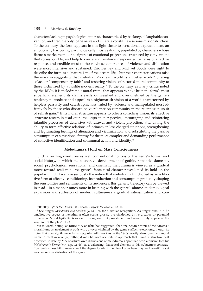characters lacking in psychological interest, characterized by hackneyed, laughable convention, and credible only to the naive and illiterate constitute a serious misconstruction. To the contrary, the form appears in this light closer to sensational expressionism, an emotionally harrowing, psychologically incisive drama, populated by characters whose flatness marks them out as figures of emotional projection, structured by conventions that correspond to, and help to create and reinforce, deep-seated patterns of affective response, and credible most to those whose experiences of violence and dislocation were most intensive and sustained. Eric Bentley and Michael Booth were right to describe the form as a "naturalism of the dream life," but their characterizations miss the mark in suggesting that melodrama's dream world is a "better world" offering solace or "compensatory faith" and fostering visions of restored moral community to those victimized by a hostile modern reality.28 To the contrary, as many critics noted by the 1830s, it is melodrama's moral frame that appears to have been the form's most superficial element, its claims easily outweighed and overwhelmed by the genre's tendency to produce and appeal to a nightmarish vision of a world characterized by helpless passivity and catastrophic loss, ruled by violence and manipulated most effectively by those who discard naive reliance on community in the relentless pursuit of selfish gain.29 If its moral structure appears to offer a consoling vision, its affective structure fosters instead quite the opposite perspective, encouraging and reinforcing infantile processes of defensive withdrawal and violent projection, attenuating the ability to form affective relations of intimacy in less charged situations, strengthening and legitimating feelings of alienation and victimization, and substituting the passive consumption of sensational fantasy for the more complex and demanding performance of collective identification and communal action and identity.<sup>30</sup>

## **Melodrama's Hold on Mass Consciousness**

Such a reading overturns as well conventional notions of the genre's formal and social history, in which the successive development of gothic, romantic, domestic, social, psychological, sensational, and cinematic melodrama is viewed as a gradual move toward realism as the genre's fantastical character weakened its hold on the popular mind. If we take seriously the notion that melodrama functioned as an addictive form of affective conditioning, its production and consumption gradually shaping the sensibilities and sentiments of its audiences, this generic trajectory can be viewed instead—in a manner much more in keeping with the genre's almost epidemiological expansion and suffusion of modern culture—as a gradual intensification and con-

<sup>28</sup> Bentley, *Life of the Drama*, 205; Booth, *English Melodrama*, 13–14.

<sup>29</sup> See Singer, *Melodrama and Modernity*, 133–39, for a similar recognition. As Singer puts it: "The ameliorative aspect of melodrama often seems grossly overshadowed by its anxious or paranoid dimension. Moral legibility is evident throughout, but punishment and reward only appear at the very end of the play" (137).

<sup>&</sup>lt;sup>30</sup> It is worth noting, as Bruce McConachie has suggested, that one needn't think of melodrama's moral frame as an element at odds with, or overwhelmed by, the genre's affective economy, though he notes that apocalyptic melodramas popular with workers in the 1840s mostly abandoned any moral frame to revel in revenge; rather, it may be more accurate to approach that frame, a structure best described to date by McConachie's own discussions of melodrama's "popular neoplatonism" (see his *Melodramatic Formations*, esp. 42–46), as a balancing, dialectical element of this subgenre's construction. Such a possibility reveals well the degree to which the view I offer here may well constitute yet another serious distortion of the genre.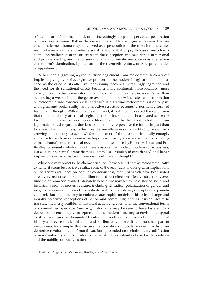solidation of melodrama's hold, of its increasingly deep and pervasive penetration of mass consciousness. Rather than marking a shift toward greater realism, the rise of domestic melodrama may be viewed as a penetration of the form into the closer realm of everyday life and interpersonal relations, that of psychological melodrama as the internalization of its structures in the conception and negotiation of personal and private identity, and that of sensational and cinematic melodrama as a reflection of the form's domination, by the turn of the twentieth century, of perceptual modes of apprehension.

Rather than suggesting a gradual disentanglement from melodrama, such a view implies a giving over of ever greater portions of the modern imagination to its influence, as the effect of its affective conditioning becomes increasingly ingrained and the need for its sensational effects becomes more continual, more localized, more closely linked to the moment-to-moment negotiation of lived experience. Rather than suggesting a weakening of the genre over time, this view indicates an incorporation of melodrama into consciousness, and with it a gradual melodramatization of psychological and social reality as its affective structure becomes a normative form of feeling and thought. With such a view in mind, it is difficult to avoid the conclusion that the long history of critical neglect of the melodrama, and in a related sense the formation of a romantic conception of literary culture that banished melodrama from legitimate critical regard, is due less to an inability to perceive the form's impact than to a fearful unwillingness, rather like the unwillingness of an addict to recognize a growing dependency, to acknowledge the extent of the problem. Ironically enough, evidence for such an outcome is perhaps most directly apparent in the first stirrings of melodrama's modern critical reevaluation: those efforts by Robert Heilman and Eric Bentley to present melodrama not merely as a central mode of modern consciousness, but as a quintessential dramatic mode, a timeless "version of experience," and hence implying its organic, natural presence in culture and thought.<sup>31</sup>

While one may object to the characterization I have offered here as melodramatically extreme, it seems less so if we realize some of the secondary and long-term implications of the genre's influence on popular consciousness, many of which have been noted already by recent scholars. In addition to its direct effect on affective structures, over time melodrama contributed intimately to what we now see as the distorted social and historical vision of modern culture, including its radical polarization of gender and race, its repressive culture of domesticity and its infantilizing conception of parent– child relations, its tendency to embrace catastrophic models of historical change and morally polarized conceptions of nation and community, and its insistent desire to translate the messy realities of historical action and event into the conventional forms of commodified spectacle. Similarly, melodrama may be seen to have fostered, to a degree that seems largely unappreciated, the modern tendency to envision temporal existence as a process dominated by absolute models of rupture and reunion and of history as a cycle of victimization and retributive violence. It is in no small part to melodrama, for example, that we owe the formation of popular modern myths of redemptive revolution and of moral war, both grounded on melodrama's crudification of moral authority and its inculcation of belief in the sublimity of spectacular violence and the nobility of passive suffering.

<sup>31</sup> Heilman, *Tragedy and Melodrama*; Bentley, *Life of the Drama*.